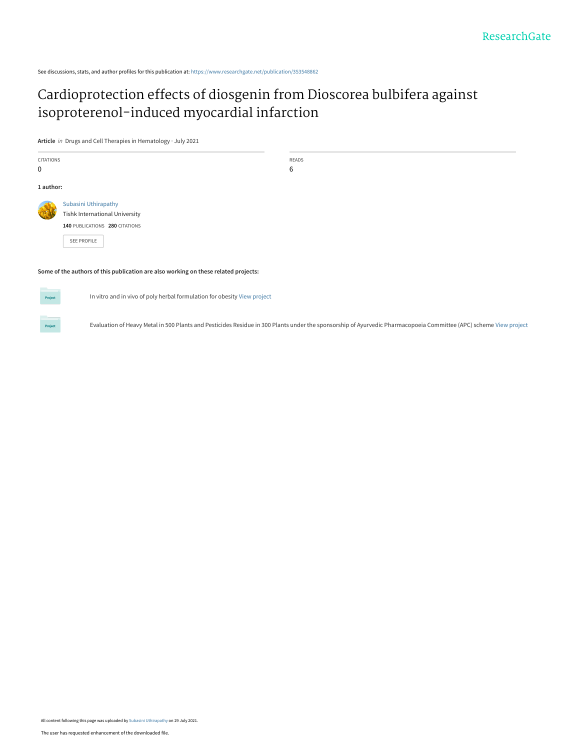See discussions, stats, and author profiles for this publication at: [https://www.researchgate.net/publication/353548862](https://www.researchgate.net/publication/353548862_Cardioprotection_effects_of_diosgenin_from_Dioscorea_bulbifera_against_isoproterenol-induced_myocardial_infarction?enrichId=rgreq-0c8c5f75eb32470f6c63ca4af2dd8dc5-XXX&enrichSource=Y292ZXJQYWdlOzM1MzU0ODg2MjtBUzoxMDUwODkzNDI0MjY3MjY1QDE2Mjc1NjM5MjUzMTk%3D&el=1_x_2&_esc=publicationCoverPdf)

# [Cardioprotection effects of diosgenin from Dioscorea bulbifera against](https://www.researchgate.net/publication/353548862_Cardioprotection_effects_of_diosgenin_from_Dioscorea_bulbifera_against_isoproterenol-induced_myocardial_infarction?enrichId=rgreq-0c8c5f75eb32470f6c63ca4af2dd8dc5-XXX&enrichSource=Y292ZXJQYWdlOzM1MzU0ODg2MjtBUzoxMDUwODkzNDI0MjY3MjY1QDE2Mjc1NjM5MjUzMTk%3D&el=1_x_3&_esc=publicationCoverPdf) isoproterenol-induced myocardial infarction

**Article** in Drugs and Cell Therapies in Hematology · July 2021

| <b>CITATIONS</b> |                                                                                     | <b>READS</b> |
|------------------|-------------------------------------------------------------------------------------|--------------|
| 0                |                                                                                     | 6            |
| 1 author:        |                                                                                     |              |
|                  | Subasini Uthirapathy                                                                |              |
|                  | <b>Tishk International University</b>                                               |              |
|                  | 140 PUBLICATIONS 280 CITATIONS                                                      |              |
|                  | <b>SEE PROFILE</b>                                                                  |              |
|                  |                                                                                     |              |
|                  |                                                                                     |              |
|                  | Some of the authors of this publication are also working on these related projects: |              |

**Some of the authors of this publication are also working on these related projects:**

Project

**Project** 

In vitro and in vivo of poly herbal formulation for obesity [View project](https://www.researchgate.net/project/In-vitro-and-in-vivo-of-poly-herbal-formulation-for-obesity?enrichId=rgreq-0c8c5f75eb32470f6c63ca4af2dd8dc5-XXX&enrichSource=Y292ZXJQYWdlOzM1MzU0ODg2MjtBUzoxMDUwODkzNDI0MjY3MjY1QDE2Mjc1NjM5MjUzMTk%3D&el=1_x_9&_esc=publicationCoverPdf)

Evaluation of Heavy Metal in 500 Plants and Pesticides Residue in 300 Plants under the sponsorship of Ayurvedic Pharmacopoeia Committee (APC) scheme [View project](https://www.researchgate.net/project/Evaluation-of-Heavy-Metal-in-500-Plants-and-Pesticides-Residue-in-300-Plants-under-the-sponsorship-of-Ayurvedic-Pharmacopoeia-Committee-APC-scheme?enrichId=rgreq-0c8c5f75eb32470f6c63ca4af2dd8dc5-XXX&enrichSource=Y292ZXJQYWdlOzM1MzU0ODg2MjtBUzoxMDUwODkzNDI0MjY3MjY1QDE2Mjc1NjM5MjUzMTk%3D&el=1_x_9&_esc=publicationCoverPdf)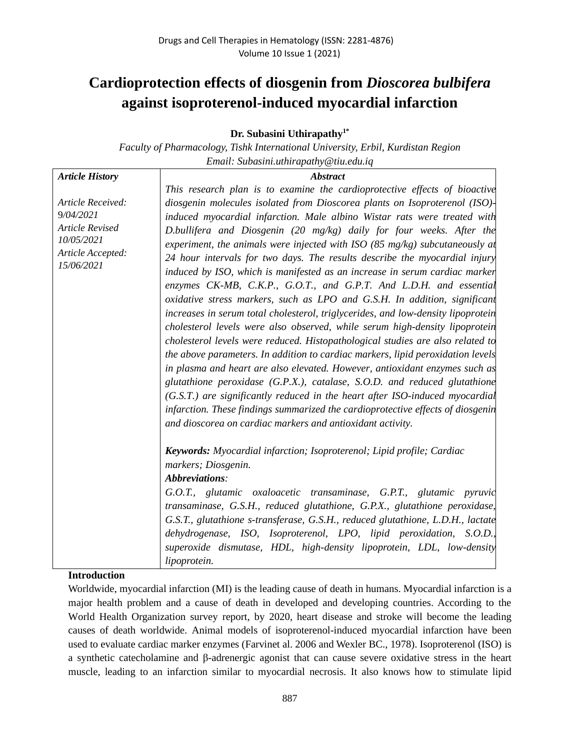# **Cardioprotection effects of diosgenin from** *Dioscorea bulbifera* **against isoproterenol-induced myocardial infarction**

**Dr. Subasini Uthirapathy1\***

*Faculty of Pharmacology, Tishk International University, Erbil, Kurdistan Region Email: Subasini.uthirapathy@tiu.edu.iq*

| <b>Article History</b>                                                                                    | <b>Abstract</b>                                                                                                                                                                                                                                                                                                                                                                                                                                                                                                                                                                                                                                                                                                                                                                                                                                                                                                                                                                                                                                                                                                                                                                                                                                                                                                                                                      |  |  |  |  |
|-----------------------------------------------------------------------------------------------------------|----------------------------------------------------------------------------------------------------------------------------------------------------------------------------------------------------------------------------------------------------------------------------------------------------------------------------------------------------------------------------------------------------------------------------------------------------------------------------------------------------------------------------------------------------------------------------------------------------------------------------------------------------------------------------------------------------------------------------------------------------------------------------------------------------------------------------------------------------------------------------------------------------------------------------------------------------------------------------------------------------------------------------------------------------------------------------------------------------------------------------------------------------------------------------------------------------------------------------------------------------------------------------------------------------------------------------------------------------------------------|--|--|--|--|
|                                                                                                           | This research plan is to examine the cardioprotective effects of bioactive                                                                                                                                                                                                                                                                                                                                                                                                                                                                                                                                                                                                                                                                                                                                                                                                                                                                                                                                                                                                                                                                                                                                                                                                                                                                                           |  |  |  |  |
| Article Received:<br>9/04/2021<br><b>Article Revised</b><br>10/05/2021<br>Article Accepted:<br>15/06/2021 | diosgenin molecules isolated from Dioscorea plants on Isoproterenol (ISO)-<br>induced myocardial infarction. Male albino Wistar rats were treated with<br>D.bullifera and Diosgenin (20 mg/kg) daily for four weeks. After the<br>experiment, the animals were injected with ISO (85 mg/kg) subcutaneously at<br>24 hour intervals for two days. The results describe the myocardial injury<br>induced by ISO, which is manifested as an increase in serum cardiac marker<br>enzymes CK-MB, C.K.P., G.O.T., and G.P.T. And L.D.H. and essential<br>oxidative stress markers, such as LPO and G.S.H. In addition, significant<br>increases in serum total cholesterol, triglycerides, and low-density lipoprotein<br>cholesterol levels were also observed, while serum high-density lipoprotein<br>cholesterol levels were reduced. Histopathological studies are also related to<br>the above parameters. In addition to cardiac markers, lipid peroxidation levels<br>in plasma and heart are also elevated. However, antioxidant enzymes such as<br>glutathione peroxidase $(G.P.X.)$ , catalase, S.O.D. and reduced glutathione<br>(G.S.T.) are significantly reduced in the heart after ISO-induced myocardial<br>infarction. These findings summarized the cardioprotective effects of diosgenin<br>and dioscorea on cardiac markers and antioxidant activity. |  |  |  |  |
|                                                                                                           | <b>Keywords:</b> Myocardial infarction; Isoproterenol; Lipid profile; Cardiac<br>markers; Diosgenin.<br>Abbreviations:<br>G.O.T., glutamic oxaloacetic transaminase, G.P.T., glutamic pyruvic<br>transaminase, G.S.H., reduced glutathione, G.P.X., glutathione peroxidase,<br>G.S.T., glutathione s-transferase, G.S.H., reduced glutathione, L.D.H., lactate<br>dehydrogenase, ISO, Isoproterenol, LPO, lipid peroxidation, S.O.D.,<br>superoxide dismutase, HDL, high-density lipoprotein, LDL, low-density<br>lipoprotein.                                                                                                                                                                                                                                                                                                                                                                                                                                                                                                                                                                                                                                                                                                                                                                                                                                       |  |  |  |  |

# **Introduction**

Worldwide, myocardial infarction (MI) is the leading cause of death in humans. Myocardial infarction is a major health problem and a cause of death in developed and developing countries. According to the World Health Organization survey report, by 2020, heart disease and stroke will become the leading causes of death worldwide. Animal models of isoproterenol-induced myocardial infarction have been used to evaluate cardiac marker enzymes (Farvinet al. 2006 and Wexler BC., 1978). Isoproterenol (ISO) is a synthetic catecholamine and β-adrenergic agonist that can cause severe oxidative stress in the heart muscle, leading to an infarction similar to myocardial necrosis. It also knows how to stimulate lipid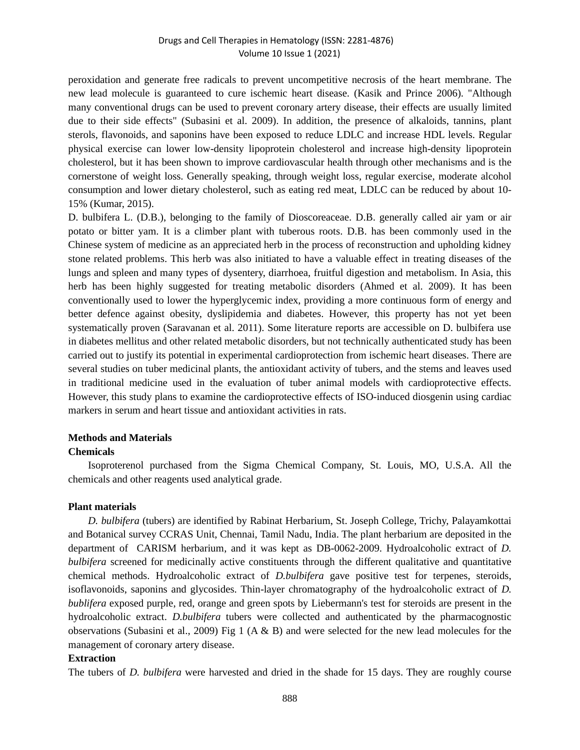peroxidation and generate free radicals to prevent uncompetitive necrosis of the heart membrane. The new lead molecule is guaranteed to cure ischemic heart disease. (Kasik and Prince 2006). "Although many conventional drugs can be used to prevent coronary artery disease, their effects are usually limited due to their side effects" (Subasini et al. 2009). In addition, the presence of alkaloids, tannins, plant sterols, flavonoids, and saponins have been exposed to reduce LDLC and increase HDL levels. Regular physical exercise can lower low-density lipoprotein cholesterol and increase high-density lipoprotein cholesterol, but it has been shown to improve cardiovascular health through other mechanisms and is the cornerstone of weight loss. Generally speaking, through weight loss, regular exercise, moderate alcohol consumption and lower dietary cholesterol, such as eating red meat, LDLC can be reduced by about 10- 15% (Kumar, 2015).

D. bulbifera L. (D.B.), belonging to the family of Dioscoreaceae. D.B. generally called air yam or air potato or bitter yam. It is a climber plant with tuberous roots. D.B. has been commonly used in the Chinese system of medicine as an appreciated herb in the process of reconstruction and upholding kidney stone related problems. This herb was also initiated to have a valuable effect in treating diseases of the lungs and spleen and many types of dysentery, diarrhoea, fruitful digestion and metabolism. In Asia, this herb has been highly suggested for treating metabolic disorders (Ahmed et al. 2009). It has been conventionally used to lower the hyperglycemic index, providing a more continuous form of energy and better defence against obesity, dyslipidemia and diabetes. However, this property has not yet been systematically proven (Saravanan et al. 2011). Some literature reports are accessible on D. bulbifera use in diabetes mellitus and other related metabolic disorders, but not technically authenticated study has been carried out to justify its potential in experimental cardioprotection from ischemic heart diseases. There are several studies on tuber medicinal plants, the antioxidant activity of tubers, and the stems and leaves used in traditional medicine used in the evaluation of tuber animal models with cardioprotective effects. However, this study plans to examine the cardioprotective effects of ISO-induced diosgenin using cardiac markers in serum and heart tissue and antioxidant activities in rats.

### **Methods and Materials**

#### **Chemicals**

Isoproterenol purchased from the Sigma Chemical Company, St. Louis, MO, U.S.A. All the chemicals and other reagents used analytical grade.

#### **Plant materials**

*D. bulbifera* (tubers) are identified by Rabinat Herbarium, St. Joseph College, Trichy, Palayamkottai and Botanical survey CCRAS Unit, Chennai, Tamil Nadu, India. The plant herbarium are deposited in the department of CARISM herbarium, and it was kept as DB-0062-2009. Hydroalcoholic extract of *D. bulbifera* screened for medicinally active constituents through the different qualitative and quantitative chemical methods. Hydroalcoholic extract of *D.bulbifera* gave positive test for terpenes, steroids, isoflavonoids, saponins and glycosides. Thin-layer chromatography of the hydroalcoholic extract of *D. bublifera* exposed purple, red, orange and green spots by Liebermann's test for steroids are present in the hydroalcoholic extract. *D.bulbifera* tubers were collected and authenticated by the pharmacognostic observations (Subasini et al., 2009) Fig 1 ( $A \& B$ ) and were selected for the new lead molecules for the management of coronary artery disease.

#### **Extraction**

The tubers of *D. bulbifera* were harvested and dried in the shade for 15 days. They are roughly course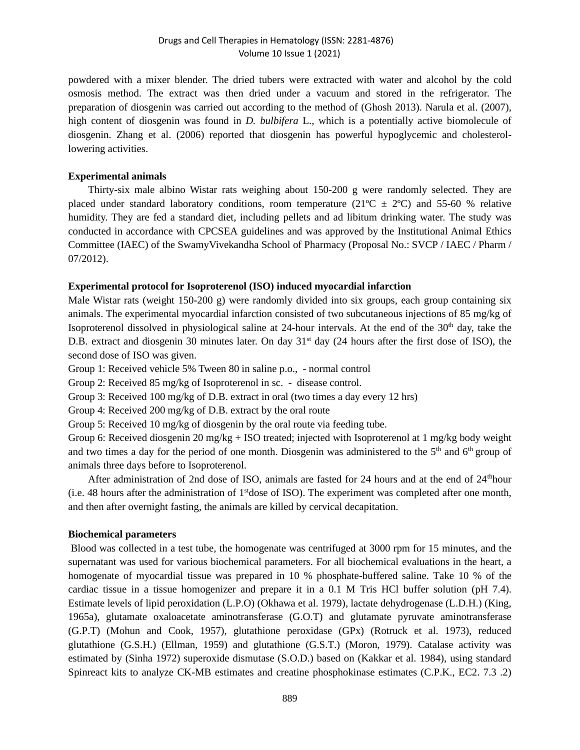powdered with a mixer blender. The dried tubers were extracted with water and alcohol by the cold osmosis method. The extract was then dried under a vacuum and stored in the refrigerator. The preparation of diosgenin was carried out according to the method of (Ghosh 2013). Narula et al. (2007), high content of diosgenin was found in *D. bulbifera* L., which is a potentially active biomolecule of diosgenin. Zhang et al. (2006) reported that diosgenin has powerful hypoglycemic and cholesterollowering activities.

#### **Experimental animals**

Thirty-six male albino Wistar rats weighing about 150-200 g were randomly selected. They are placed under standard laboratory conditions, room temperature ( $21^{\circ}C \pm 2^{\circ}C$ ) and 55-60 % relative humidity. They are fed a standard diet, including pellets and ad libitum drinking water. The study was conducted in accordance with CPCSEA guidelines and was approved by the Institutional Animal Ethics Committee (IAEC) of the SwamyVivekandha School of Pharmacy (Proposal No.: SVCP / IAEC / Pharm / 07/2012).

#### **Experimental protocol for Isoproterenol (ISO) induced myocardial infarction**

Male Wistar rats (weight 150-200 g) were randomly divided into six groups, each group containing six animals. The experimental myocardial infarction consisted of two subcutaneous injections of 85 mg/kg of Isoproterenol dissolved in physiological saline at 24-hour intervals. At the end of the  $30<sup>th</sup>$  day, take the D.B. extract and diosgenin 30 minutes later. On day  $31<sup>st</sup>$  day (24 hours after the first dose of ISO), the second dose of ISO was given.

Group 1: Received vehicle 5% Tween 80 in saline p.o., - normal control

Group 2: Received 85 mg/kg of Isoproterenol in sc. - disease control.

Group 3: Received 100 mg/kg of D.B. extract in oral (two times a day every 12 hrs)

Group 4: Received 200 mg/kg of D.B. extract by the oral route

Group 5: Received 10 mg/kg of diosgenin by the oral route via feeding tube.

Group 6: Received diosgenin 20 mg/kg + ISO treated; injected with Isoproterenol at 1 mg/kg body weight and two times a day for the period of one month. Diosgenin was administered to the  $5<sup>th</sup>$  and  $6<sup>th</sup>$  group of animals three days before to Isoproterenol.

After administration of 2nd dose of ISO, animals are fasted for 24 hours and at the end of 24<sup>th</sup>hour (i.e. 48 hours after the administration of  $1<sup>st</sup>$  dose of ISO). The experiment was completed after one month, and then after overnight fasting, the animals are killed by cervical decapitation.

#### **Biochemical parameters**

Blood was collected in a test tube, the homogenate was centrifuged at 3000 rpm for 15 minutes, and the supernatant was used for various biochemical parameters. For all biochemical evaluations in the heart, a homogenate of myocardial tissue was prepared in 10 % phosphate-buffered saline. Take 10 % of the cardiac tissue in a tissue homogenizer and prepare it in a 0.1 M Tris HCl buffer solution (pH 7.4). Estimate levels of lipid peroxidation (L.P.O) (Okhawa et al. 1979), lactate dehydrogenase (L.D.H.) (King, 1965a), glutamate oxaloacetate aminotransferase (G.O.T) and glutamate pyruvate aminotransferase (G.P.T) (Mohun and Cook, 1957), glutathione peroxidase (GPx) (Rotruck et al. 1973), reduced glutathione (G.S.H.) (Ellman, 1959) and glutathione (G.S.T.) (Moron, 1979). Catalase activity was estimated by (Sinha 1972) superoxide dismutase (S.O.D.) based on (Kakkar et al. 1984), using standard Spinreact kits to analyze CK-MB estimates and creatine phosphokinase estimates (C.P.K., EC2. 7.3 .2)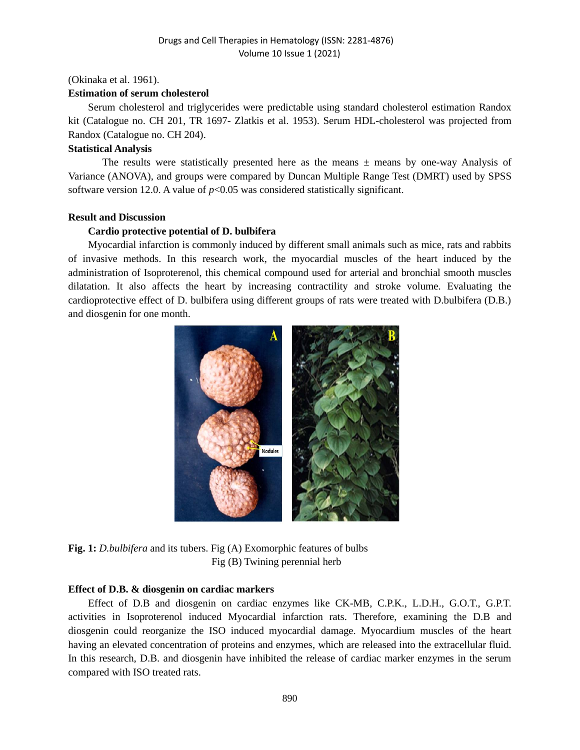#### (Okinaka et al. 1961).

#### **Estimation of serum cholesterol**

Serum cholesterol and triglycerides were predictable using standard cholesterol estimation Randox kit (Catalogue no. CH 201, TR 1697- Zlatkis et al. 1953). Serum HDL-cholesterol was projected from Randox (Catalogue no. CH 204).

#### **Statistical Analysis**

The results were statistically presented here as the means  $\pm$  means by one-way Analysis of Variance (ANOVA), and groups were compared by Duncan Multiple Range Test (DMRT) used by SPSS software version 12.0. A value of  $p<0.05$  was considered statistically significant.

#### **Result and Discussion**

### **Cardio protective potential of D. bulbifera**

Myocardial infarction is commonly induced by different small animals such as mice, rats and rabbits of invasive methods. In this research work, the myocardial muscles of the heart induced by the administration of Isoproterenol, this chemical compound used for arterial and bronchial smooth muscles dilatation. It also affects the heart by increasing contractility and stroke volume. Evaluating the cardioprotective effect of D. bulbifera using different groups of rats were treated with D.bulbifera (D.B.) and diosgenin for one month.



**Fig. 1:** *D.bulbifera* and its tubers. Fig (A) Exomorphic features of bulbs Fig (B) Twining perennial herb

#### **Effect of D.B. & diosgenin on cardiac markers**

Effect of D.B and diosgenin on cardiac enzymes like CK-MB, C.P.K., L.D.H., G.O.T., G.P.T. activities in Isoproterenol induced Myocardial infarction rats. Therefore, examining the D.B and diosgenin could reorganize the ISO induced myocardial damage. Myocardium muscles of the heart having an elevated concentration of proteins and enzymes, which are released into the extracellular fluid. In this research, D.B. and diosgenin have inhibited the release of cardiac marker enzymes in the serum compared with ISO treated rats.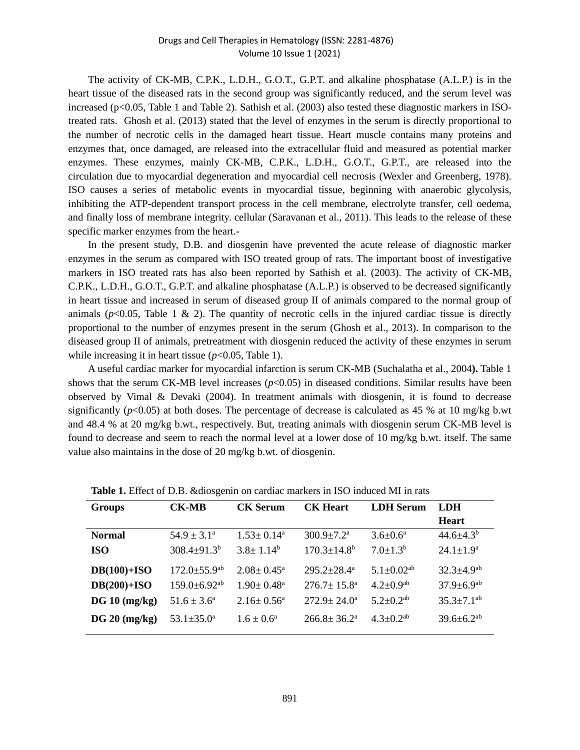The activity of CK-MB, C.P.K., L.D.H., G.O.T., G.P.T. and alkaline phosphatase (A.L.P.) is in the heart tissue of the diseased rats in the second group was significantly reduced, and the serum level was increased (p<0.05, Table 1 and Table 2). Sathish et al. (2003) also tested these diagnostic markers in ISOtreated rats. Ghosh et al. (2013) stated that the level of enzymes in the serum is directly proportional to the number of necrotic cells in the damaged heart tissue. Heart muscle contains many proteins and enzymes that, once damaged, are released into the extracellular fluid and measured as potential marker enzymes. These enzymes, mainly CK-MB, C.P.K., L.D.H., G.O.T., G.P.T., are released into the circulation due to myocardial degeneration and myocardial cell necrosis (Wexler and Greenberg, 1978). ISO causes a series of metabolic events in myocardial tissue, beginning with anaerobic glycolysis, inhibiting the ATP-dependent transport process in the cell membrane, electrolyte transfer, cell oedema, and finally loss of membrane integrity. cellular (Saravanan et al., 2011). This leads to the release of these specific marker enzymes from the heart.-

In the present study, D.B. and diosgenin have prevented the acute release of diagnostic marker enzymes in the serum as compared with ISO treated group of rats. The important boost of investigative markers in ISO treated rats has also been reported by Sathish et al. (2003). The activity of CK-MB, C.P.K., L.D.H., G.O.T., G.P.T. and alkaline phosphatase (A.L.P.) is observed to be decreased significantly in heart tissue and increased in serum of diseased group II of animals compared to the normal group of animals ( $p$ <0.05, Table 1 & 2). The quantity of necrotic cells in the injured cardiac tissue is directly proportional to the number of enzymes present in the serum (Ghosh et al., 2013). In comparison to the diseased group II of animals, pretreatment with diosgenin reduced the activity of these enzymes in serum while increasing it in heart tissue ( $p$ <0.05, Table 1).

A useful cardiac marker for myocardial infarction is serum CK-MB (Suchalatha et al., 2004**).** Table 1 shows that the serum CK-MB level increases  $(p<0.05)$  in diseased conditions. Similar results have been observed by Vimal & Devaki (2004). In treatment animals with diosgenin, it is found to decrease significantly ( $p$ <0.05) at both doses. The percentage of decrease is calculated as 45 % at 10 mg/kg b.wt and 48.4 % at 20 mg/kg b.wt., respectively. But, treating animals with diosgenin serum CK-MB level is found to decrease and seem to reach the normal level at a lower dose of 10 mg/kg b.wt. itself. The same value also maintains in the dose of 20 mg/kg b.wt. of diosgenin.

| <b>Groups</b> | <b>CK-MB</b>                   | <b>CK Serum</b>            | <b>CK Heart</b>               | <b>LDH</b> Serum             | <b>LDH</b>                   |
|---------------|--------------------------------|----------------------------|-------------------------------|------------------------------|------------------------------|
|               |                                |                            |                               |                              | <b>Heart</b>                 |
| <b>Normal</b> | $54.9 \pm 3.1^{\circ}$         | $1.53 \pm 0.14^a$          | $300.9 \pm 7.2$ <sup>a</sup>  | $3.6 \pm 0.6^a$              | $44.6 \pm 4.3^b$             |
| <b>ISO</b>    | $308.4 \pm 91.3^b$             | $3.8 \pm 1.14^b$           | $170.3 \pm 14.8$ <sup>b</sup> | $7.0 \pm 1.3^b$              | $24.1 \pm 1.9^a$             |
| $DB(100)+ISO$ | $172.0 \pm 55.9$ <sup>ab</sup> | $2.08 \pm 0.45^{\circ}$    | $295.2 \pm 28.4^a$            | $5.1 \pm 0.02$ <sup>ab</sup> | $32.3 \pm 4.9$ <sup>ab</sup> |
| $DB(200)+ISO$ | $159.0 \pm 6.92$ <sup>ab</sup> | $1.90 \pm 0.48^{\text{a}}$ | $276.7 + 15.8^{\circ}$        | $4.2 \pm 0.9$ <sup>ab</sup>  | $37.9 \pm 6.9$ <sup>ab</sup> |
| DG 10 (mg/kg) | $51.6 \pm 3.6^{\circ}$         | $2.16 \pm 0.56^{\circ}$    | $272.9 \pm 24.0^{\circ}$      | $5.2 \pm 0.2$ <sup>ab</sup>  | $35.3 \pm 7.1$ <sup>ab</sup> |
| DG 20 (mg/kg) | $53.1 \pm 35.0^{\circ}$        | $1.6 \pm 0.6^a$            | $266.8 \pm 36.2^{\circ}$      | $4.3 + 0.2^{ab}$             | $39.6 \pm 6.2$ <sup>ab</sup> |

**Table 1.** Effect of D.B. &diosgenin on cardiac markers in ISO induced MI in rats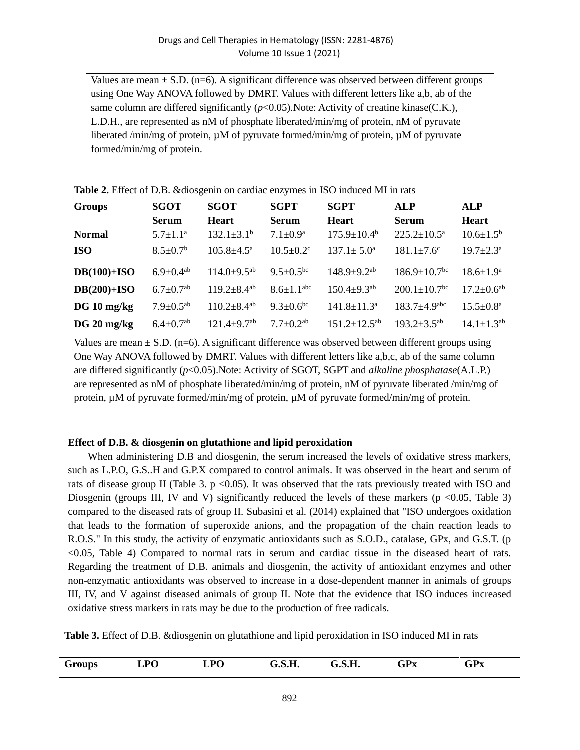Values are mean  $\pm$  S.D. (n=6). A significant difference was observed between different groups using One Way ANOVA followed by DMRT. Values with different letters like a,b, ab of the same column are differed significantly  $(p<0.05)$ . Note: Activity of creatine kinase(C.K.), L.D.H., are represented as nM of phosphate liberated/min/mg of protein, nM of pyruvate liberated /min/mg of protein, µM of pyruvate formed/min/mg of protein, µM of pyruvate formed/min/mg of protein.

| <b>Groups</b> | <b>SGOT</b>                 | <b>SGOT</b>                   | <b>SGPT</b>                  | <b>SGPT</b>                   | <b>ALP</b>                     | <b>ALP</b>                |
|---------------|-----------------------------|-------------------------------|------------------------------|-------------------------------|--------------------------------|---------------------------|
|               | <b>Serum</b>                | <b>Heart</b>                  | <b>Serum</b>                 | <b>Heart</b>                  | <b>Serum</b>                   | <b>Heart</b>              |
| <b>Normal</b> | $5.7 \pm 1.1^{\rm a}$       | $132.1 \pm 3.1^{\circ}$       | $7.1 \pm 0.9^{\rm a}$        | $175.9 \pm 10.4^{\rm b}$      | $225.2 \pm 10.5^{\text{a}}$    | $10.6 \pm 1.5^{\rm b}$    |
| <b>ISO</b>    | $8.5 \pm 0.7^b$             | $105.8 \pm 4.5^{\mathrm{a}}$  | $10.5 \pm 0.2$ <sup>c</sup>  | $137.1 \pm 5.0^{\circ}$       | $181.1 \pm 7.6$ <sup>c</sup>   | $19.7 \pm 2.3^{\text{a}}$ |
| $DB(100)+ISO$ | $6.9 \pm 0.4$ <sup>ab</sup> | $114.0 \pm 9.5^{ab}$          | $9.5 \pm 0.5$ <sup>bc</sup>  | $148.9 + 9.2^{ab}$            | $186.9 + 10.7$ <sup>bc</sup>   | $18.6 + 1.9^a$            |
| $DB(200)+ISO$ | $6.7 \pm 0.7^{\rm ab}$      | $119.2 \pm 8.4$ <sup>ab</sup> | $8.6 \pm 1.1$ <sup>abc</sup> | $150.4 \pm 9.3$ <sup>ab</sup> | $200.1 \pm 10.7$ <sup>bc</sup> | $17.2 \pm 0.6^{ab}$       |
| $DG 10$ mg/kg | $7.9 \pm 0.5^{ab}$          | $110.2 \pm 8.4$ <sup>ab</sup> | $9.3 \pm 0.6^{\rm bc}$       | $141.8 + 11.3a$               | $183.7 + 4.9$ <sup>abc</sup>   | $15.5 + 0.8^a$            |
| $DG 20$ mg/kg | $6.4 \pm 0.7^{ab}$          | $121.4 + 9.7$ <sup>ab</sup>   | $7.7 \pm 0.2^{ab}$           | $151.2 \pm 12.5^{ab}$         | $193.2 \pm 3.5^{ab}$           | $14.1 \pm 1.3^{ab}$       |

**Table 2.** Effect of D.B. &diosgenin on cardiac enzymes in ISO induced MI in rats

Values are mean  $\pm$  S.D. (n=6). A significant difference was observed between different groups using One Way ANOVA followed by DMRT. Values with different letters like a,b,c, ab of the same column are differed significantly (*p*<0.05).Note: Activity of SGOT, SGPT and *alkaline phosphatase*(A.L.P.) are represented as nM of phosphate liberated/min/mg of protein, nM of pyruvate liberated /min/mg of protein,  $\mu$ M of pyruvate formed/min/mg of protein,  $\mu$ M of pyruvate formed/min/mg of protein.

## **Effect of D.B. & diosgenin on glutathione and lipid peroxidation**

When administering D.B and diosgenin, the serum increased the levels of oxidative stress markers, such as L.P.O, G.S..H and G.P.X compared to control animals. It was observed in the heart and serum of rats of disease group II (Table 3. p <0.05). It was observed that the rats previously treated with ISO and Diosgenin (groups III, IV and V) significantly reduced the levels of these markers ( $p$  <0.05, Table 3) compared to the diseased rats of group II. Subasini et al. (2014) explained that "ISO undergoes oxidation that leads to the formation of superoxide anions, and the propagation of the chain reaction leads to R.O.S." In this study, the activity of enzymatic antioxidants such as S.O.D., catalase, GPx, and G.S.T. (p <0.05, Table 4) Compared to normal rats in serum and cardiac tissue in the diseased heart of rats. Regarding the treatment of D.B. animals and diosgenin, the activity of antioxidant enzymes and other non-enzymatic antioxidants was observed to increase in a dose-dependent manner in animals of groups III, IV, and V against diseased animals of group II. Note that the evidence that ISO induces increased oxidative stress markers in rats may be due to the production of free radicals.

**Table 3.** Effect of D.B. &diosgenin on glutathione and lipid peroxidation in ISO induced MI in rats

| Groups | <b>LPO</b> | <b>LPO</b> | G.S.H. | G.S.H. | <b>GPx</b><br>$\sim$ | <b>GPx</b> |  |
|--------|------------|------------|--------|--------|----------------------|------------|--|
|        |            |            |        |        |                      |            |  |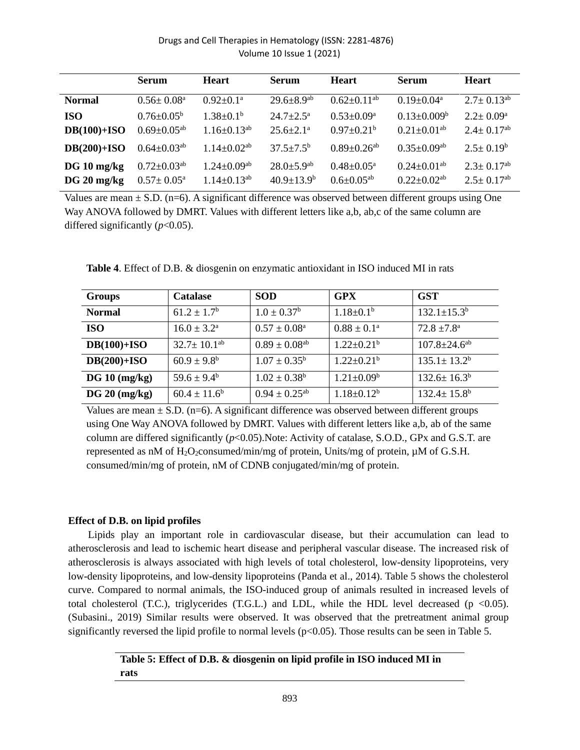|                                | <b>Serum</b>                                                | <b>Heart</b>                                          | <b>Serum</b>                                            | <b>Heart</b>                                               | <b>Serum</b>                                                   | <b>Heart</b>                                                 |
|--------------------------------|-------------------------------------------------------------|-------------------------------------------------------|---------------------------------------------------------|------------------------------------------------------------|----------------------------------------------------------------|--------------------------------------------------------------|
| <b>Normal</b>                  | $0.56 \pm 0.08^{\circ}$                                     | $0.92 + 0.1^a$                                        | $29.6 \pm 8.9$ <sup>ab</sup>                            | $0.62 \pm 0.11^{ab}$                                       | $0.19 + 0.04^a$                                                | $2.7 \pm 0.13^{ab}$                                          |
| <b>ISO</b><br>$DB(100)+ISO$    | $0.76 \pm 0.05^{\rm b}$<br>$0.69 \pm 0.05^{ab}$             | $1.38 \pm 0.1^b$<br>$1.16 \pm 0.13^{ab}$              | $24.7+2.5^{\mathrm{a}}$<br>$25.6 \pm 2.1^{\circ}$       | $0.53+0.09^a$<br>$0.97 \pm 0.21^{\rm b}$                   | $0.13 \pm 0.009^b$<br>$0.21 \pm 0.01^{ab}$                     | $2.2 \pm 0.09^{\rm a}$<br>$2.4 \pm 0.17^{ab}$                |
| $DB(200)+ISO$                  | $0.64 \pm 0.03$ <sup>ab</sup>                               | $1.14 \pm 0.02^{ab}$                                  | $37.5 \pm 7.5^{\rm b}$                                  | $0.89 \pm 0.26$ <sup>ab</sup>                              | $0.35 \pm 0.09^{ab}$                                           | $2.5 \pm 0.19^b$                                             |
| $DG 10$ mg/kg<br>$DG 20$ mg/kg | $0.72 \pm 0.03$ <sup>ab</sup><br>$0.57 \pm 0.05^{\text{a}}$ | $1.24 \pm 0.09$ <sup>ab</sup><br>$1.14 \pm 0.13^{ab}$ | $28.0 \pm 5.9$ <sup>ab</sup><br>$40.9 \pm 13.9^{\rm b}$ | $0.48 \pm 0.05^{\text{a}}$<br>$0.6 \pm 0.05$ <sup>ab</sup> | $0.24 \pm 0.01$ <sup>ab</sup><br>$0.22 \pm 0.02$ <sup>ab</sup> | $2.3 \pm 0.17$ <sup>ab</sup><br>$2.5 \pm 0.17$ <sup>ab</sup> |

Values are mean  $\pm$  S.D. (n=6). A significant difference was observed between different groups using One Way ANOVA followed by DMRT. Values with different letters like a,b, ab,c of the same column are differed significantly (*p*<0.05).

| <b>Groups</b> | <b>Catalase</b>        | <b>SOD</b>                    | <b>GPX</b>                   | <b>GST</b>                     |
|---------------|------------------------|-------------------------------|------------------------------|--------------------------------|
| <b>Normal</b> | $61.2 \pm 1.7^{\rm b}$ | $1.0 \pm 0.37^b$              | $1.18 \pm 0.1^b$             | $132.1 \pm 15.3^b$             |
| <b>ISO</b>    | $16.0 \pm 3.2^{\rm a}$ | $0.57 \pm 0.08^{\text{a}}$    | $0.88 \pm 0.1^{\text{a}}$    | $72.8 \pm 7.8^{\text{a}}$      |
| $DB(100)+ISO$ | $32.7 \pm 10.1^{ab}$   | $0.89 \pm 0.08^{ab}$          | $1.22 \pm 0.21^b$            | $107.8 \pm 24.6$ <sup>ab</sup> |
| $DB(200)+ISO$ | $60.9 \pm 9.8^{\rm b}$ | $1.07 \pm 0.35^b$             | $1.22 \pm 0.21$ <sup>b</sup> | $135.1 \pm 13.2^b$             |
| DG 10 (mg/kg) | $59.6 \pm 9.4^{\rm b}$ | $1.02 \pm 0.38^b$             | $1.21 \pm 0.09^b$            | $132.6 \pm 16.3^b$             |
| DG 20 (mg/kg) | $60.4 \pm 11.6^b$      | $0.94 \pm 0.25$ <sup>ab</sup> | $1.18 \pm 0.12^b$            | $132.4 \pm 15.8^{\rm b}$       |

**Table 4**. Effect of D.B. & diosgenin on enzymatic antioxidant in ISO induced MI in rats

Values are mean  $\pm$  S.D. (n=6). A significant difference was observed between different groups using One Way ANOVA followed by DMRT. Values with different letters like a,b, ab of the same column are differed significantly ( $p$ <0.05). Note: Activity of catalase, S.O.D., GPx and G.S.T. are represented as nM of  $H_2O_2$ consumed/min/mg of protein, Units/mg of protein,  $\mu$ M of G.S.H. consumed/min/mg of protein, nM of CDNB conjugated/min/mg of protein.

## **Effect of D.B. on lipid profiles**

Lipids play an important role in cardiovascular disease, but their accumulation can lead to atherosclerosis and lead to ischemic heart disease and peripheral vascular disease. The increased risk of atherosclerosis is always associated with high levels of total cholesterol, low-density lipoproteins, very low-density lipoproteins, and low-density lipoproteins (Panda et al., 2014). Table 5 shows the cholesterol curve. Compared to normal animals, the ISO-induced group of animals resulted in increased levels of total cholesterol (T.C.), triglycerides (T.G.L.) and LDL, while the HDL level decreased ( $p < 0.05$ ). (Subasini., 2019) Similar results were observed. It was observed that the pretreatment animal group significantly reversed the lipid profile to normal levels ( $p<0.05$ ). Those results can be seen in Table 5.

> **Table 5: Effect of D.B. & diosgenin on lipid profile in ISO induced MI in rats**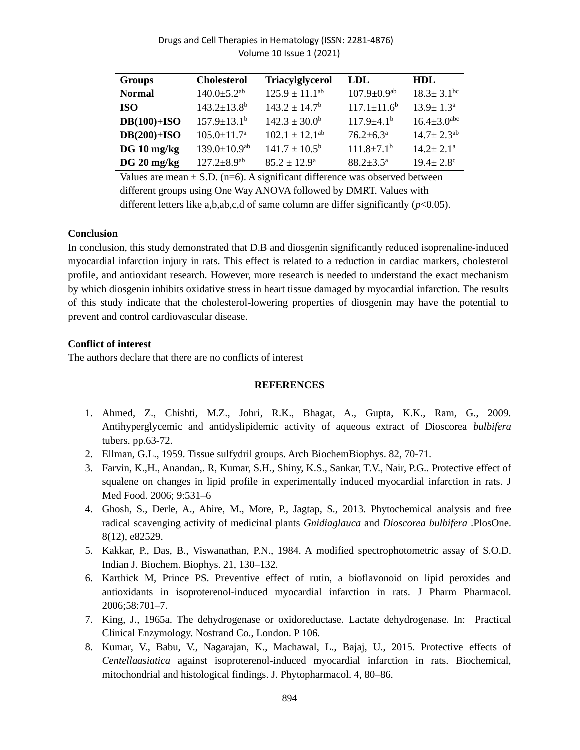| <b>Groups</b> | <b>Cholesterol</b>             | <b>Triacylglycerol</b>   | LDL                           | HDL                          |
|---------------|--------------------------------|--------------------------|-------------------------------|------------------------------|
| <b>Normal</b> | $140.0 \pm 5.2$ <sup>ab</sup>  | $125.9 \pm 11.1^{ab}$    | $107.9 \pm 0.9$ <sup>ab</sup> | $18.3 \pm 3.1$ <sup>bc</sup> |
| <b>ISO</b>    | $143.2 \pm 13.8^b$             | $143.2 \pm 14.7^{\rm b}$ | $117.1 \pm 11.6^b$            | $13.9 \pm 1.3^{\circ}$       |
| $DB(100)+ISO$ | $157.9 \pm 13.1^{\rm b}$       | $142.3 \pm 30.0^b$       | $117.9 \pm 4.1^{\circ}$       | $16.4 \pm 3.0^{\text{abc}}$  |
| $DB(200)+ISO$ | $105.0 \pm 11.7^{\mathrm{a}}$  | $102.1 \pm 12.1^{ab}$    | $76.2 \pm 6.3^{\text{a}}$     | $14.7 \pm 2.3^{ab}$          |
| $DG 10$ mg/kg | $139.0 \pm 10.9$ <sup>ab</sup> | $141.7 \pm 10.5^{\rm b}$ | $111.8 \pm 7.1^{\rm b}$       | $14.2 \pm 2.1^{\text{a}}$    |
| $DG 20$ mg/kg | $127.2 \pm 8.9$ <sup>ab</sup>  | $85.2 + 12.9^{\circ}$    | $88.2 + 3.5^{\circ}$          | $19.4 + 2.8$                 |

Values are mean  $\pm$  S.D. (n=6). A significant difference was observed between different groups using One Way ANOVA followed by DMRT. Values with different letters like a,b,ab,c,d of same column are differ significantly  $(p<0.05)$ .

### **Conclusion**

In conclusion, this study demonstrated that D.B and diosgenin significantly reduced isoprenaline-induced myocardial infarction injury in rats. This effect is related to a reduction in cardiac markers, cholesterol profile, and antioxidant research. However, more research is needed to understand the exact mechanism by which diosgenin inhibits oxidative stress in heart tissue damaged by myocardial infarction. The results of this study indicate that the cholesterol-lowering properties of diosgenin may have the potential to prevent and control cardiovascular disease.

## **Conflict of interest**

The authors declare that there are no conflicts of interest

#### **REFERENCES**

- 1. Ahmed, Z., Chishti, M.Z., Johri, R.K., Bhagat, A., Gupta, K.K., Ram, G., 2009. Antihyperglycemic and antidyslipidemic activity of aqueous extract of Dioscorea *bulbifera* tubers. pp.63-72.
- 2. Ellman, G.L., 1959. Tissue sulfydril groups. Arch BiochemBiophys. 82, 70-71.
- 3. Farvin, K.,H., Anandan,. R, Kumar, S.H., Shiny, K.S., Sankar, T.V., Nair, P.G.. Protective effect of squalene on changes in lipid profile in experimentally induced myocardial infarction in rats. J Med Food. 2006; 9:531–6
- 4. Ghosh, S., Derle, A., Ahire, M., More, P., Jagtap, S., 2013. Phytochemical analysis and free radical scavenging activity of medicinal plants *Gnidiaglauca* and *Dioscorea bulbifera* .PlosOne. 8(12), e82529.
- 5. Kakkar, P., Das, B., Viswanathan, P.N., 1984. A modified spectrophotometric assay of S.O.D. Indian J. Biochem. Biophys. 21, 130–132.
- 6. Karthick M, Prince PS. Preventive effect of rutin, a bioflavonoid on lipid peroxides and antioxidants in isoproterenol-induced myocardial infarction in rats. J Pharm Pharmacol. 2006;58:701–7.
- 7. King, J., 1965a. The dehydrogenase or oxidoreductase. Lactate dehydrogenase. In: Practical Clinical Enzymology. Nostrand Co., London. P 106.
- 8. Kumar, V., Babu, V., Nagarajan, K., Machawal, L., Bajaj, U., 2015. Protective effects of *Centellaasiatica* against isoproterenol-induced myocardial infarction in rats. Biochemical, mitochondrial and histological findings. J. Phytopharmacol. 4, 80–86.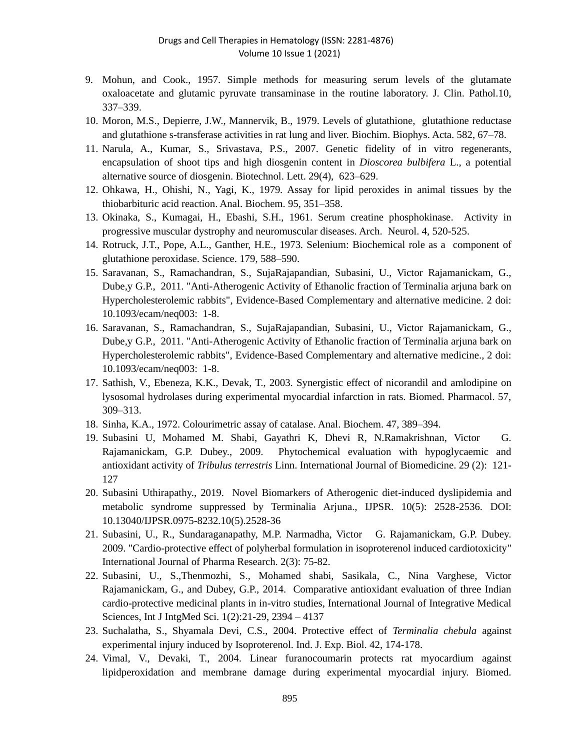- 9. Mohun, and Cook., 1957. Simple methods for measuring serum levels of the glutamate oxaloacetate and glutamic pyruvate transaminase in the routine laboratory. J. Clin. Pathol.10, 337–339.
- 10. Moron, M.S., Depierre, J.W., Mannervik, B., 1979. Levels of glutathione, glutathione reductase and glutathione s-transferase activities in rat lung and liver. Biochim. Biophys. Acta. 582, 67–78.
- 11. Narula, A., Kumar, S., Srivastava, P.S., 2007. Genetic fidelity of in vitro regenerants, encapsulation of shoot tips and high diosgenin content in *Dioscorea bulbifera* L., a potential alternative source of diosgenin. Biotechnol. Lett. 29(4), 623–629.
- 12. Ohkawa, H., Ohishi, N., Yagi, K., 1979. Assay for lipid peroxides in animal tissues by the thiobarbituric acid reaction. Anal. Biochem. 95, 351–358.
- 13. Okinaka, S., Kumagai, H., Ebashi, S.H., 1961. Serum creatine phosphokinase. Activity in progressive muscular dystrophy and neuromuscular diseases. Arch. Neurol. 4, 520-525.
- 14. Rotruck, J.T., Pope, A.L., Ganther, H.E., 1973. Selenium: Biochemical role as a component of glutathione peroxidase. Science. 179, 588–590.
- 15. Saravanan, S., Ramachandran, S., SujaRajapandian, Subasini, U., Victor Rajamanickam, G., Dube,y G.P., 2011. "Anti-Atherogenic Activity of Ethanolic fraction of Terminalia arjuna bark on Hypercholesterolemic rabbits", Evidence-Based Complementary and alternative medicine. 2 doi: 10.1093/ecam/neq003: 1-8.
- 16. Saravanan, S., Ramachandran, S., SujaRajapandian, Subasini, U., Victor Rajamanickam, G., Dube,y G.P., 2011. "Anti-Atherogenic Activity of Ethanolic fraction of Terminalia arjuna bark on Hypercholesterolemic rabbits", Evidence-Based Complementary and alternative medicine., 2 doi: 10.1093/ecam/neq003: 1-8.
- 17. Sathish, V., Ebeneza, K.K., Devak, T., 2003. Synergistic effect of nicorandil and amlodipine on lysosomal hydrolases during experimental myocardial infarction in rats. Biomed. Pharmacol. 57, 309–313.
- 18. Sinha, K.A., 1972. Colourimetric assay of catalase. Anal. Biochem. 47, 389–394.
- 19. Subasini U, Mohamed M. Shabi, Gayathri K, Dhevi R, N.Ramakrishnan, Victor G. Rajamanickam, G.P. Dubey., 2009. Phytochemical evaluation with hypoglycaemic and antioxidant activity of *Tribulus terrestris* Linn. International Journal of Biomedicine. 29 (2): 121- 127
- 20. Subasini Uthirapathy., 2019. Novel Biomarkers of Atherogenic diet-induced dyslipidemia and metabolic syndrome suppressed by Terminalia Arjuna., IJPSR. 10(5): 2528-2536. DOI: 10.13040/IJPSR.0975-8232.10(5).2528-36
- 21. Subasini, U., R., Sundaraganapathy, M.P. Narmadha, Victor G. Rajamanickam, G.P. Dubey. 2009. "Cardio-protective effect of polyherbal formulation in isoproterenol induced cardiotoxicity" International Journal of Pharma Research. 2(3): 75-82.
- 22. Subasini, U., S.,Thenmozhi, S., Mohamed shabi, Sasikala, C., Nina Varghese, Victor Rajamanickam, G., and Dubey, G.P., 2014. Comparative antioxidant evaluation of three Indian cardio-protective medicinal plants in in-vitro studies, International Journal of Integrative Medical Sciences, Int J IntgMed Sci. 1(2):21-29, 2394 – 4137
- 23. Suchalatha, S., Shyamala Devi, C.S., 2004. Protective effect of *Terminalia chebula* against experimental injury induced by Isoproterenol. Ind. J. Exp. Biol. 42, 174-178.
- 24. Vimal, V., Devaki, T., 2004. Linear furanocoumarin protects rat myocardium against lipidperoxidation and membrane damage during experimental myocardial injury. Biomed.